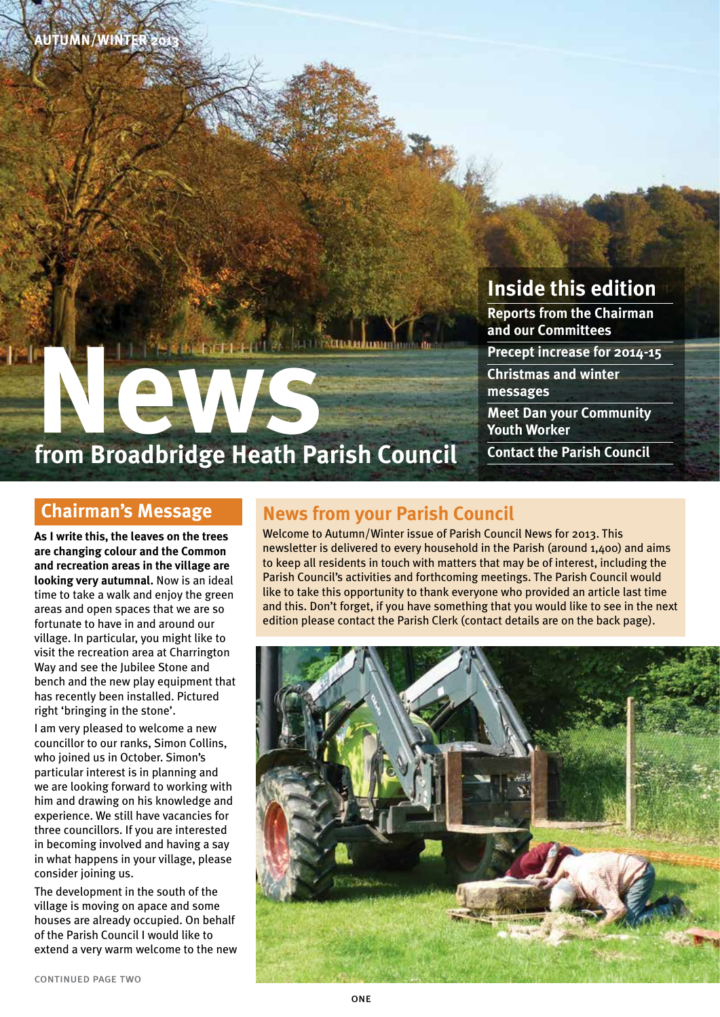

# **NewsPeriod from Broadbridge Heath Parish Council**

### **Inside this edition**

**Reports from the Chairman and our Committees**

**Precept increase for 2014-15**

**Christmas and winter messages**

**Meet Dan your Community Youth Worker**

**Contact the Parish Council**

#### **Chairman's Message**

**As I write this, the leaves on the trees are changing colour and the Common and recreation areas in the village are looking very autumnal.** Now is an ideal time to take a walk and enjoy the green areas and open spaces that we are so fortunate to have in and around our village. In particular, you might like to visit the recreation area at Charrington Way and see the Jubilee Stone and bench and the new play equipment that has recently been installed. Pictured right 'bringing in the stone'.

I am very pleased to welcome a new councillor to our ranks, Simon Collins, who joined us in October. Simon's particular interest is in planning and we are looking forward to working with him and drawing on his knowledge and experience. We still have vacancies for three councillors. If you are interested in becoming involved and having a say in what happens in your village, please consider joining us.

The development in the south of the village is moving on apace and some houses are already occupied. On behalf of the Parish Council I would like to extend a very warm welcome to the new

#### **News from your Parish Council**

Welcome to Autumn/Winter issue of Parish Council News for 2013. This newsletter is delivered to every household in the Parish (around 1,400) and aims to keep all residents in touch with matters that may be of interest, including the Parish Council's activities and forthcoming meetings. The Parish Council would like to take this opportunity to thank everyone who provided an article last time and this. Don't forget, if you have something that you would like to see in the next edition please contact the Parish Clerk (contact details are on the back page).

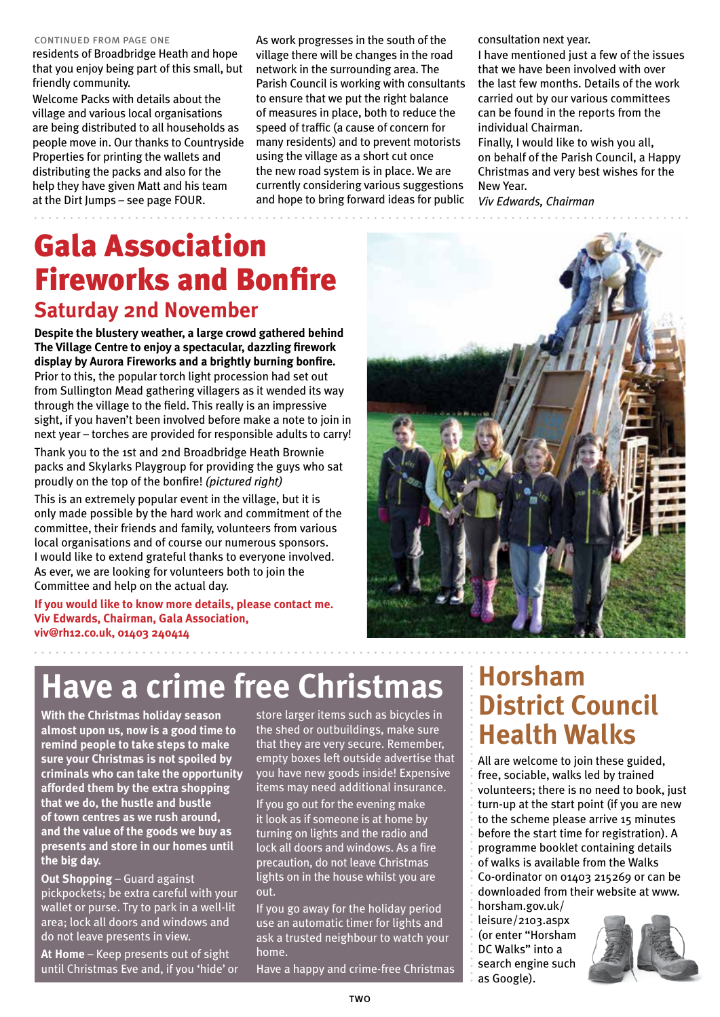#### continued from page one

residents of Broadbridge Heath and hope that you enjoy being part of this small, but friendly community.

Welcome Packs with details about the village and various local organisations are being distributed to all households as people move in. Our thanks to Countryside Properties for printing the wallets and distributing the packs and also for the help they have given Matt and his team at the Dirt Jumps – see page FOUR.

As work progresses in the south of the village there will be changes in the road network in the surrounding area. The Parish Council is working with consultants to ensure that we put the right balance of measures in place, both to reduce the speed of traffic (a cause of concern for many residents) and to prevent motorists using the village as a short cut once the new road system is in place. We are currently considering various suggestions and hope to bring forward ideas for public

consultation next year.

I have mentioned just a few of the issues that we have been involved with over the last few months. Details of the work carried out by our various committees can be found in the reports from the individual Chairman.

Finally, I would like to wish you all, on behalf of the Parish Council, a Happy Christmas and very best wishes for the New Year.

*Viv Edwards, Chairman* 

### Gala Association Fireworks and Bonfire **Saturday 2nd November**

**Despite the blustery weather, a large crowd gathered behind The Village Centre to enjoy a spectacular, dazzling firework display by Aurora Fireworks and a brightly burning bonfire.**  Prior to this, the popular torch light procession had set out from Sullington Mead gathering villagers as it wended its way through the village to the field. This really is an impressive sight, if you haven't been involved before make a note to join in next year – torches are provided for responsible adults to carry!

Thank you to the 1st and 2nd Broadbridge Heath Brownie packs and Skylarks Playgroup for providing the guys who sat proudly on the top of the bonfire! *(pictured right)*

This is an extremely popular event in the village, but it is only made possible by the hard work and commitment of the committee, their friends and family, volunteers from various local organisations and of course our numerous sponsors. I would like to extend grateful thanks to everyone involved. As ever, we are looking for volunteers both to join the Committee and help on the actual day.

**If you would like to know more details, please contact me. Viv Edwards, Chairman, Gala Association, viv@rh12.co.uk, 01403 240414** 



## **Have a crime free Christmas**

**With the Christmas holiday season almost upon us, now is a good time to remind people to take steps to make sure your Christmas is not spoiled by criminals who can take the opportunity afforded them by the extra shopping that we do, the hustle and bustle of town centres as we rush around, and the value of the goods we buy as presents and store in our homes until the big day.** 

**Out Shopping** – Guard against pickpockets; be extra careful with your wallet or purse. Try to park in a well-lit area; lock all doors and windows and do not leave presents in view.

**At Home** – Keep presents out of sight until Christmas Eve and, if you 'hide' or store larger items such as bicycles in the shed or outbuildings, make sure that they are very secure. Remember, empty boxes left outside advertise that you have new goods inside! Expensive items may need additional insurance. If you go out for the evening make it look as if someone is at home by turning on lights and the radio and lock all doors and windows. As a fire precaution, do not leave Christmas lights on in the house whilst you are out.

If you go away for the holiday period use an automatic timer for lights and ask a trusted neighbour to watch your home.

Have a happy and crime-free Christmas

### **Horsham District Council Health Walks**

All are welcome to join these guided, free, sociable, walks led by trained volunteers; there is no need to book, just turn-up at the start point (if you are new to the scheme please arrive 15 minutes before the start time for registration). A programme booklet containing details of walks is available from the Walks Co-ordinator on 01403 215269 or can be downloaded from their website at www.

horsham.gov.uk/ leisure/2103.aspx (or enter "Horsham DC Walks" into a search engine such as Google).

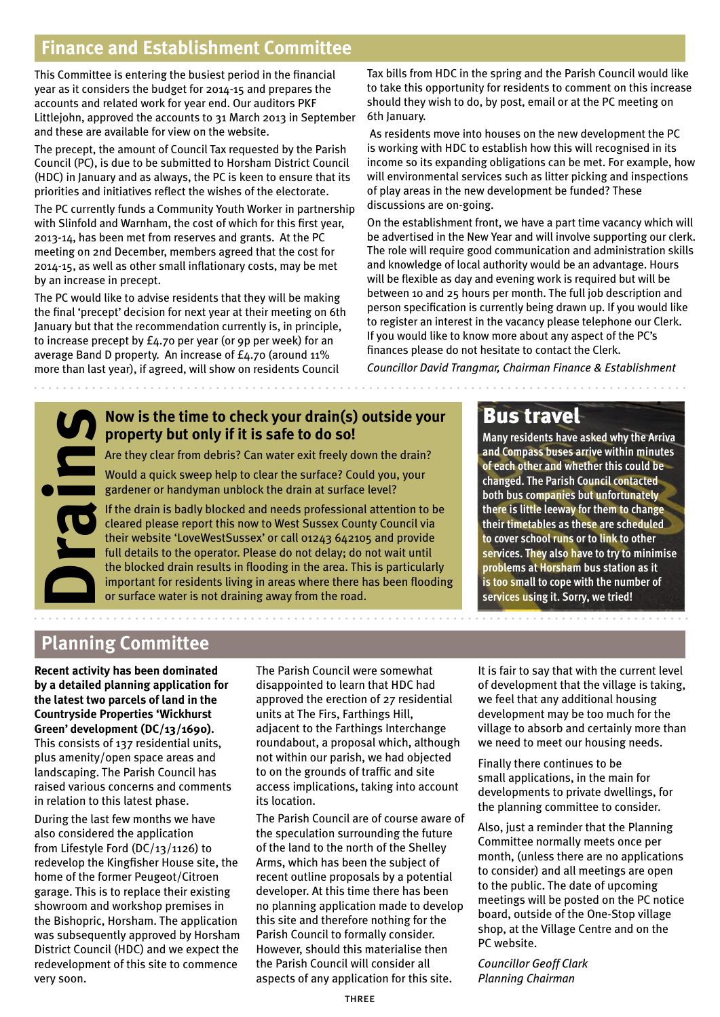#### **Finance and Establishment Committee**

This Committee is entering the busiest period in the financial year as it considers the budget for 2014-15 and prepares the accounts and related work for year end. Our auditors PKF Littlejohn, approved the accounts to 31 March 2013 in September and these are available for view on the website.

The precept, the amount of Council Tax requested by the Parish Council (PC), is due to be submitted to Horsham District Council (HDC) in January and as always, the PC is keen to ensure that its priorities and initiatives reflect the wishes of the electorate.

The PC currently funds a Community Youth Worker in partnership with Slinfold and Warnham, the cost of which for this first year, 2013-14, has been met from reserves and grants. At the PC meeting on 2nd December, members agreed that the cost for 2014-15, as well as other small inflationary costs, may be met by an increase in precept.

The PC would like to advise residents that they will be making the final 'precept' decision for next year at their meeting on 6th January but that the recommendation currently is, in principle, to increase precept by £4.70 per year (or 9p per week) for an average Band D property. An increase of £4.70 (around 11% more than last year), if agreed, will show on residents Council

Tax bills from HDC in the spring and the Parish Council would like to take this opportunity for residents to comment on this increase should they wish to do, by post, email or at the PC meeting on 6th January.

 As residents move into houses on the new development the PC is working with HDC to establish how this will recognised in its income so its expanding obligations can be met. For example, how will environmental services such as litter picking and inspections of play areas in the new development be funded? These discussions are on-going.

On the establishment front, we have a part time vacancy which will be advertised in the New Year and will involve supporting our clerk. The role will require good communication and administration skills and knowledge of local authority would be an advantage. Hours will be flexible as day and evening work is required but will be between 10 and 25 hours per month. The full job description and person specification is currently being drawn up. If you would like to register an interest in the vacancy please telephone our Clerk. If you would like to know more about any aspect of the PC's finances please do not hesitate to contact the Clerk.

*Councillor David Trangmar, Chairman Finance & Establishment*



#### **Now is the time to check your drain(s) outside your property but only if it is safe to do so!**

Are they clear from debris? Can water exit freely down the drain?

Would a quick sweep help to clear the surface? Could you, your gardener or handyman unblock the drain at surface level?

If the drain is badly blocked and needs professional attention to be cleared please report this now to West Sussex County Council via their website 'LoveWestSussex' or call 01243 642105 and provide full details to the operator. Please do not delay; do not wait until the blocked drain results in flooding in the area. This is particularly **Now is the time to check your drain(s) outside your**<br>**Property but only if it is safe to do so!**<br>Are they clear from debris? Can water exit freely down the drain?<br>Would a quick sweep help to clear the surface? Could you,

#### Bus travel

**Many residents have asked why the Arriva and Compass buses arrive within minutes of each other and whether this could be changed. The Parish Council contacted both bus companies but unfortunately there is little leeway for them to change their timetables as these are scheduled to cover school runs or to link to other services. They also have to try to minimise problems at Horsham bus station as it is too small to cope with the number of services using it. Sorry, we tried!**

#### **Planning Committee**

**Recent activity has been dominated by a detailed planning application for the latest two parcels of land in the Countryside Properties 'Wickhurst Green' development (DC/13/1690).**  This consists of 137 residential units, plus amenity/open space areas and landscaping. The Parish Council has raised various concerns and comments in relation to this latest phase.

During the last few months we have also considered the application from Lifestyle Ford (DC/13/1126) to redevelop the Kingfisher House site, the home of the former Peugeot/Citroen garage. This is to replace their existing showroom and workshop premises in the Bishopric, Horsham. The application was subsequently approved by Horsham District Council (HDC) and we expect the redevelopment of this site to commence very soon.

The Parish Council were somewhat disappointed to learn that HDC had approved the erection of 27 residential units at The Firs, Farthings Hill, adjacent to the Farthings Interchange roundabout, a proposal which, although not within our parish, we had objected to on the grounds of traffic and site access implications, taking into account its location.

The Parish Council are of course aware of the speculation surrounding the future of the land to the north of the Shelley Arms, which has been the subject of recent outline proposals by a potential developer. At this time there has been no planning application made to develop this site and therefore nothing for the Parish Council to formally consider. However, should this materialise then the Parish Council will consider all aspects of any application for this site.

It is fair to say that with the current level of development that the village is taking, we feel that any additional housing development may be too much for the village to absorb and certainly more than we need to meet our housing needs.

Finally there continues to be small applications, in the main for developments to private dwellings, for the planning committee to consider.

Also, just a reminder that the Planning Committee normally meets once per month, (unless there are no applications to consider) and all meetings are open to the public. The date of upcoming meetings will be posted on the PC notice board, outside of the One-Stop village shop, at the Village Centre and on the PC website.

*Councillor Geoff Clark Planning Chairman*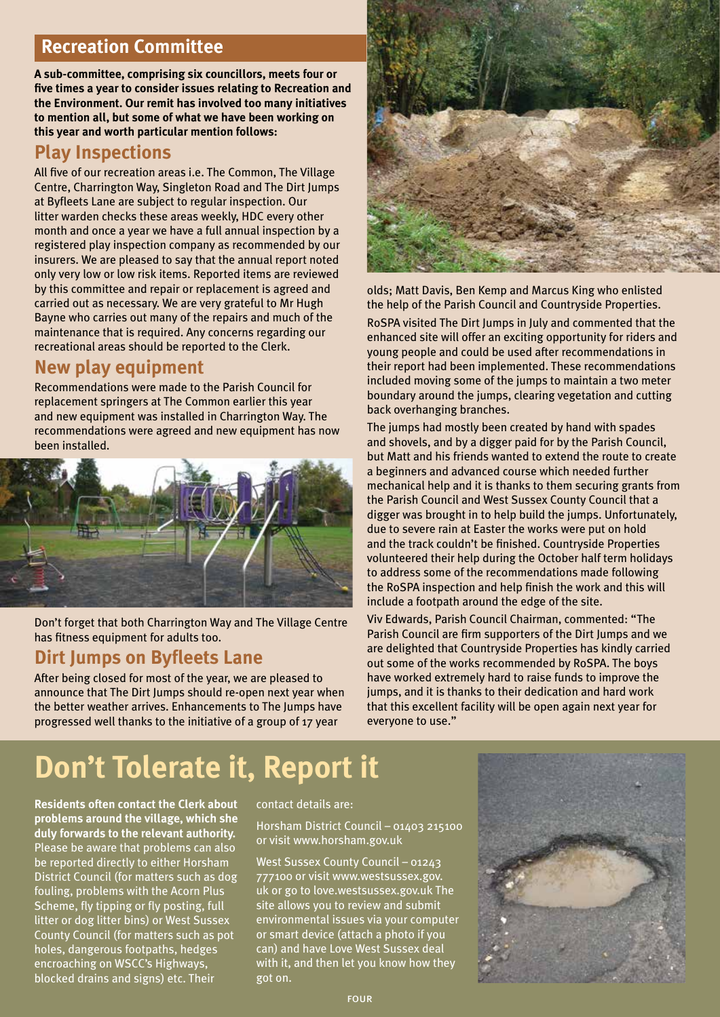#### **Recreation Committee**

**A sub-committee, comprising six councillors, meets four or five times a year to consider issues relating to Recreation and the Environment. Our remit has involved too many initiatives to mention all, but some of what we have been working on this year and worth particular mention follows:**

#### **Play Inspections**

All five of our recreation areas i.e. The Common, The Village Centre, Charrington Way, Singleton Road and The Dirt Jumps at Byfleets Lane are subject to regular inspection. Our litter warden checks these areas weekly, HDC every other month and once a year we have a full annual inspection by a registered play inspection company as recommended by our insurers. We are pleased to say that the annual report noted only very low or low risk items. Reported items are reviewed by this committee and repair or replacement is agreed and carried out as necessary. We are very grateful to Mr Hugh Bayne who carries out many of the repairs and much of the maintenance that is required. Any concerns regarding our recreational areas should be reported to the Clerk.

#### **New play equipment**

Recommendations were made to the Parish Council for replacement springers at The Common earlier this year and new equipment was installed in Charrington Way. The recommendations were agreed and new equipment has now been installed.



Don't forget that both Charrington Way and The Village Centre has fitness equipment for adults too.

#### **Dirt Jumps on Byfleets Lane**

After being closed for most of the year, we are pleased to announce that The Dirt Jumps should re-open next year when the better weather arrives. Enhancements to The Jumps have progressed well thanks to the initiative of a group of 17 year



olds; Matt Davis, Ben Kemp and Marcus King who enlisted the help of the Parish Council and Countryside Properties.

RoSPA visited The Dirt Jumps in July and commented that the enhanced site will offer an exciting opportunity for riders and young people and could be used after recommendations in their report had been implemented. These recommendations included moving some of the jumps to maintain a two meter boundary around the jumps, clearing vegetation and cutting back overhanging branches.

The jumps had mostly been created by hand with spades and shovels, and by a digger paid for by the Parish Council, but Matt and his friends wanted to extend the route to create a beginners and advanced course which needed further mechanical help and it is thanks to them securing grants from the Parish Council and West Sussex County Council that a digger was brought in to help build the jumps. Unfortunately, due to severe rain at Easter the works were put on hold and the track couldn't be finished. Countryside Properties volunteered their help during the October half term holidays to address some of the recommendations made following the RoSPA inspection and help finish the work and this will include a footpath around the edge of the site.

Viv Edwards, Parish Council Chairman, commented: "The Parish Council are firm supporters of the Dirt Jumps and we are delighted that Countryside Properties has kindly carried out some of the works recommended by RoSPA. The boys have worked extremely hard to raise funds to improve the jumps, and it is thanks to their dedication and hard work that this excellent facility will be open again next year for everyone to use."

# **Don't Tolerate it, Report it**

**Residents often contact the Clerk about problems around the village, which she duly forwards to the relevant authority.**  Please be aware that problems can also be reported directly to either Horsham District Council (for matters such as dog fouling, problems with the Acorn Plus Scheme, fly tipping or fly posting, full litter or dog litter bins) or West Sussex County Council (for matters such as pot holes, dangerous footpaths, hedges encroaching on WSCC's Highways, blocked drains and signs) etc. Their

#### contact details are:

Horsham District Council – 01403 215100 or visit www.horsham.gov.uk

West Sussex County Council – 01243 777100 or visit www.westsussex.gov. uk or go to love.westsussex.gov.uk The site allows you to review and submit environmental issues via your computer or smart device (attach a photo if you can) and have Love West Sussex deal with it, and then let you know how they got on.

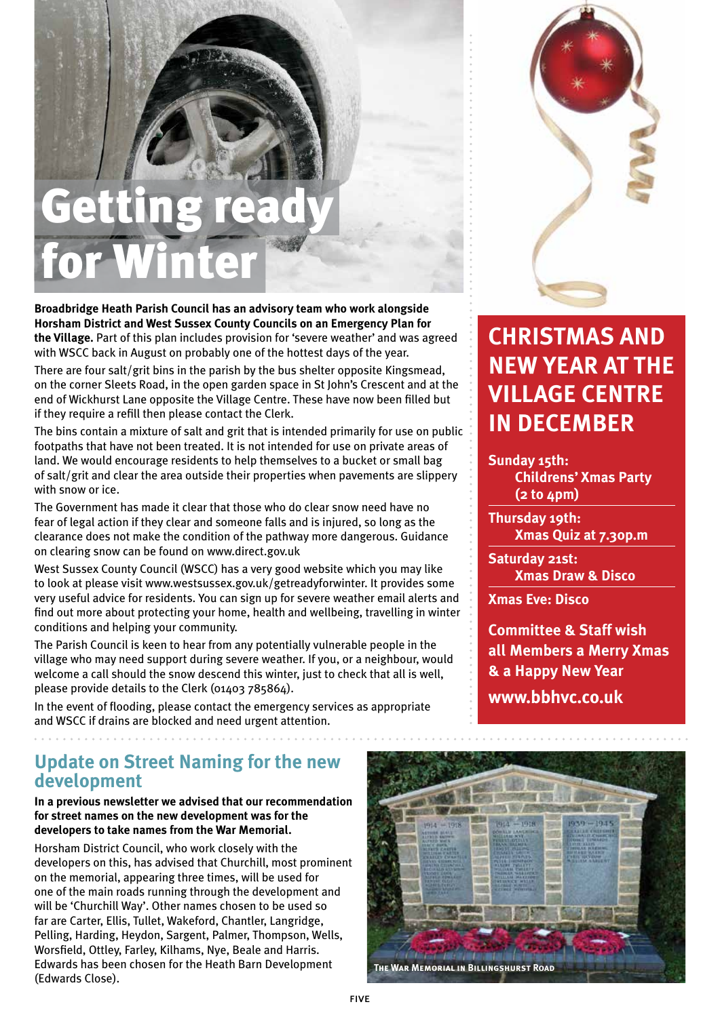# Gettin for W

**Broadbridge Heath Parish Council has an advisory team who work alongside Horsham District and West Sussex County Councils on an Emergency Plan for the Village.** Part of this plan includes provision for 'severe weather' and was agreed with WSCC back in August on probably one of the hottest days of the year.

There are four salt/grit bins in the parish by the bus shelter opposite Kingsmead, on the corner Sleets Road, in the open garden space in St John's Crescent and at the end of Wickhurst Lane opposite the Village Centre. These have now been filled but if they require a refill then please contact the Clerk.

The bins contain a mixture of salt and grit that is intended primarily for use on public footpaths that have not been treated. It is not intended for use on private areas of land. We would encourage residents to help themselves to a bucket or small bag of salt/grit and clear the area outside their properties when pavements are slippery with snow or ice.

The Government has made it clear that those who do clear snow need have no fear of legal action if they clear and someone falls and is injured, so long as the clearance does not make the condition of the pathway more dangerous. Guidance on clearing snow can be found on www.direct.gov.uk

West Sussex County Council (WSCC) has a very good website which you may like to look at please visit www.westsussex.gov.uk/getreadyforwinter. It provides some very useful advice for residents. You can sign up for severe weather email alerts and find out more about protecting your home, health and wellbeing, travelling in winter conditions and helping your community.

The Parish Council is keen to hear from any potentially vulnerable people in the village who may need support during severe weather. If you, or a neighbour, would welcome a call should the snow descend this winter, just to check that all is well, please provide details to the Clerk (01403 785864).

In the event of flooding, please contact the emergency services as appropriate and WSCC if drains are blocked and need urgent attention.

#### **Update on Street Naming for the new development**

#### **In a previous newsletter we advised that our recommendation for street names on the new development was for the developers to take names from the War Memorial.**

Horsham District Council, who work closely with the developers on this, has advised that Churchill, most prominent on the memorial, appearing three times, will be used for one of the main roads running through the development and will be 'Churchill Way'. Other names chosen to be used so far are Carter, Ellis, Tullet, Wakeford, Chantler, Langridge, Pelling, Harding, Heydon, Sargent, Palmer, Thompson, Wells, Worsfield, Ottley, Farley, Kilhams, Nye, Beale and Harris. Edwards has been chosen for the Heath Barn Development (Edwards Close).



### **Christmas and New Year at the Village Centre in December**

**Sunday 15th: Childrens' Xmas Party (2 to 4pm)**

**Thursday 19th: Xmas Quiz at 7.30p.m**

**Saturday 21st: Xmas Draw & Disco**

**Xmas Eve: Disco**

**Committee & Staff wish all Members a Merry Xmas & a Happy New Year www.bbhvc.co.uk**